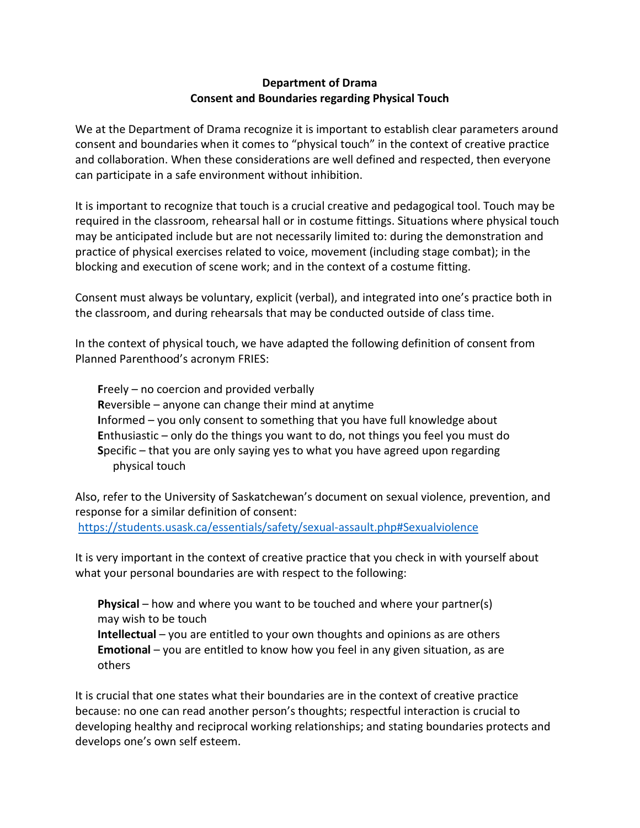## **Department of Drama Consent and Boundaries regarding Physical Touch**

We at the Department of Drama recognize it is important to establish clear parameters around consent and boundaries when it comes to "physical touch" in the context of creative practice and collaboration. When these considerations are well defined and respected, then everyone can participate in a safe environment without inhibition.

It is important to recognize that touch is a crucial creative and pedagogical tool. Touch may be required in the classroom, rehearsal hall or in costume fittings. Situations where physical touch may be anticipated include but are not necessarily limited to: during the demonstration and practice of physical exercises related to voice, movement (including stage combat); in the blocking and execution of scene work; and in the context of a costume fitting.

Consent must always be voluntary, explicit (verbal), and integrated into one's practice both in the classroom, and during rehearsals that may be conducted outside of class time.

In the context of physical touch, we have adapted the following definition of consent from Planned Parenthood's acronym FRIES:

**F**reely – no coercion and provided verbally **R**eversible – anyone can change their mind at anytime **I**nformed – you only consent to something that you have full knowledge about **E**nthusiastic – only do the things you want to do, not things you feel you must do **S**pecific – that you are only saying yes to what you have agreed upon regarding physical touch

Also, refer to the University of Saskatchewan's document on sexual violence, prevention, and response for a similar definition of consent: <https://students.usask.ca/essentials/safety/sexual-assault.php#Sexualviolence>

It is very important in the context of creative practice that you check in with yourself about what your personal boundaries are with respect to the following:

**Physical** – how and where you want to be touched and where your partner(s) may wish to be touch **Intellectual** – you are entitled to your own thoughts and opinions as are others **Emotional** – you are entitled to know how you feel in any given situation, as are others

It is crucial that one states what their boundaries are in the context of creative practice because: no one can read another person's thoughts; respectful interaction is crucial to developing healthy and reciprocal working relationships; and stating boundaries protects and develops one's own self esteem.